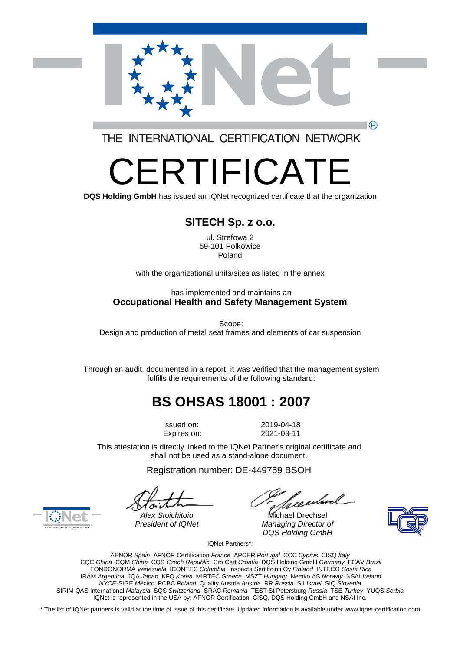

THE INTERNATIONAL CERTIFICATION NETWORK

# -R I IFICA

**DQS Holding GmbH** has issued an IQNet recognized certificate that the organization

### **SITECH Sp. z o.o.**

ul. Strefowa 2 59-101 Polkowice Poland

with the organizational units/sites as listed in the annex

#### has implemented and maintains an **Occupational Health and Safety Management System**.

Scope: Design and production of metal seat frames and elements of car suspension

Through an audit, documented in a report, it was verified that the management system fulfills the requirements of the following standard:

## **BS OHSAS 18001 : 2007**

Issued on: 2019-04-18 Expires on: 2021-03-11

This attestation is directly linked to the IQNet Partner's original certificate and shall not be used as a stand-alone document.

Registration number: DE-449759 BSOH

*Alex Stoichitoiu* Michael Drechsel **President of IQNet Managing Director of** *DQS Holding GmbH*





IQNet Partners\*:

AENOR *Spain* AFNOR Certification *France* APCER *Portugal* CCC *Cyprus* CISQ *Italy*  CQC *China* CQM *China* CQS *Czech Republic* Cro Cert *Croatia* DQS Holding GmbH *Germany* FCAV *Brazil*  FONDONORMA *Venezuela* ICONTEC *Colombia* Inspecta Sertifiointi Oy *Finland* INTECO *Costa Rica*  IRAM *Argentina* JQA *Japan* KFQ *Korea* MIRTEC *Greece* MSZT *Hungary* Nemko AS *Norway* NSAI *Ireland NYCE-*SIGE *México* PCBC *Poland* Quality Austria *Austria* RR *Russia* SII *Israel* SIQ *Slovenia*  SIRIM QAS International *Malaysia* SQS *Switzerland* SRAC *Romania* TEST St Petersburg *Russia* TSE *Turkey* YUQS *Serbia*  IQNet is represented in the USA by: AFNOR Certification, CISQ, DQS Holding GmbH and NSAI Inc.

\* The list of IQNet partners is valid at the time of issue of this certificate. Updated information is available under www.iqnet-certification.com